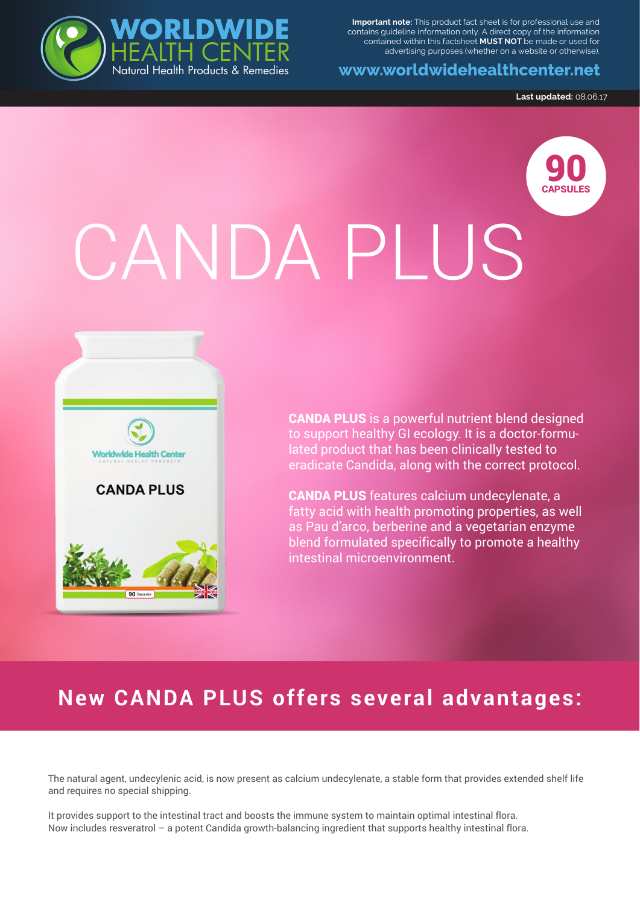**Important note:** This product fact sheet is for professional use and contains guideline information only. A direct copy of the information contained within this factsheet **MUST NOT** be made or used for advertising purposes (whether on a website or otherwise).

**www.worldwidehealthcenter.net**

**Last updated:** 08.06.17

90 CAPSULES

# CANDA PLUS



WILL THE TREADER OF THE TREADER

**WORLDWIDE**

HEALTH CENTER

CANDA PLUS is a powerful nutrient blend designed to support healthy GI ecology. It is a doctor-formulated product that has been clinically tested to eradicate Candida, along with the correct protocol.

CANDA PLUS features calcium undecylenate, a fatty acid with health promoting properties, as well as Pau d'arco, berberine and a vegetarian enzyme blend formulated specifically to promote a healthy intestinal microenvironment.

## **New CANDA PLUS offers several advantages:**

The natural agent, undecylenic acid, is now present as calcium undecylenate, a stable form that provides extended shelf life and requires no special shipping.

It provides support to the intestinal tract and boosts the immune system to maintain optimal intestinal flora. Now includes resveratrol – a potent Candida growth-balancing ingredient that supports healthy intestinal flora.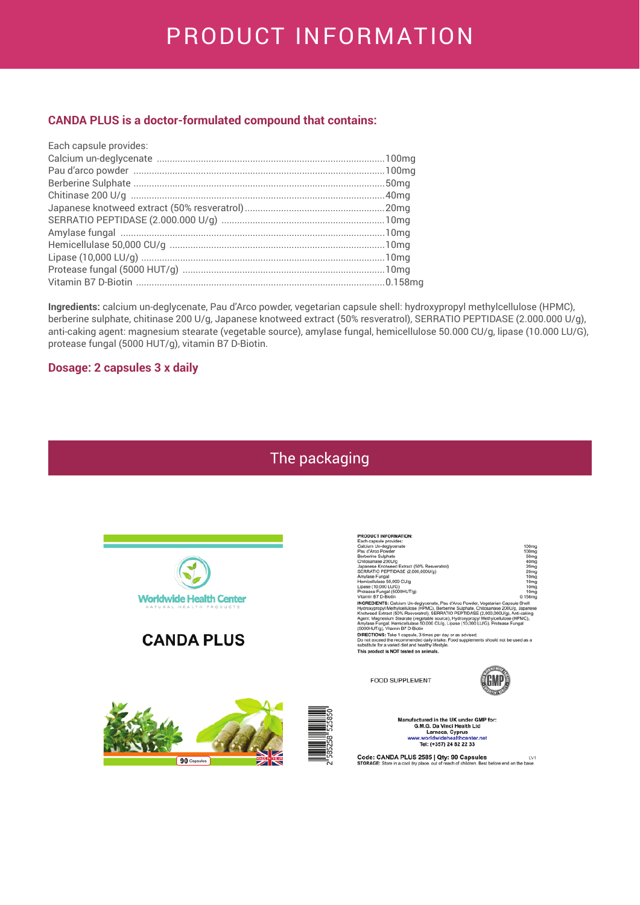## PRODUCT INFORMATION

#### **CANDA PLUS is a doctor-formulated compound that contains:**

| Each capsule provides: |  |
|------------------------|--|
|                        |  |
|                        |  |
|                        |  |
|                        |  |
|                        |  |
|                        |  |
|                        |  |
|                        |  |
|                        |  |
|                        |  |
|                        |  |

Ingredients: calcium un-deglycenate, Pau d'Arco powder, vegetarian capsule shell: hydroxypropyl methylcellulose (HPMC), berberine sulphate, chitinase 200 U/g, Japanese knotweed extract (50% resveratrol), SERRATIO PEPTIDASE (2.000.000 U/g), anti-caking agent: magnesium stearate (vegetable source), amylase fungal, hemicellulose 50.000 CU/g, lipase (10.000 LU/G), protease fungal (5000 HUT/g), vitamin B7 D-Biotin.

#### **Dosage: 2 capsules 3 x daily**

## The packaging



### **CANDA PLUS**

 $90 \text{ Cap}$ 



FOOD SUPPLEMENT



Manufactured in the UK under GMP for:<br>G.M.G. Da Vinci Health Ltd<br>Larnaca, Cyprus<br>www.worldwidehealthcenter.net Tel: (+357) 24 82 22 33

Code: CANDA PLUS 2585 | Qty: 90 Capsules<br>CODE: Clean in a cool du place out of reach of children. Best before end on the base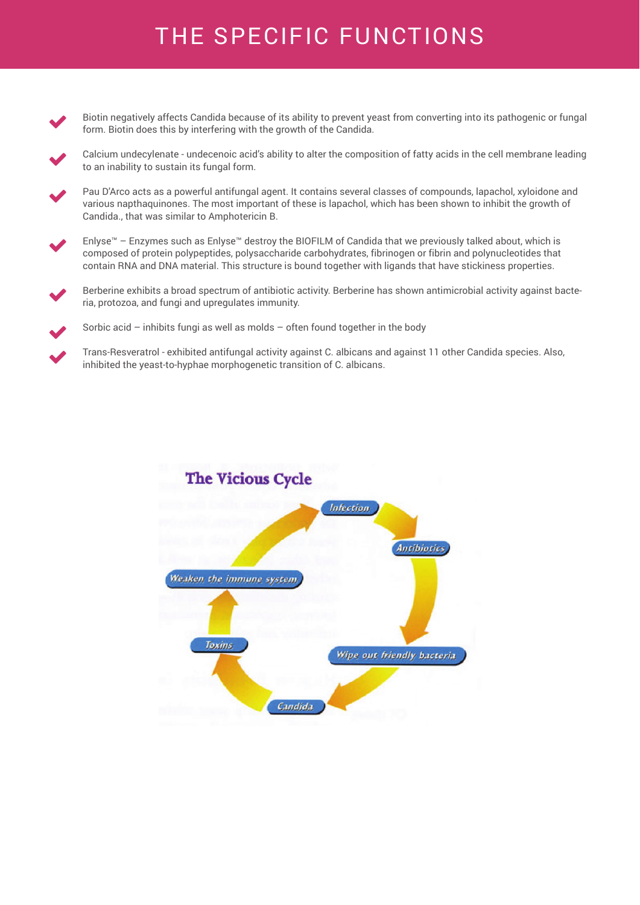# THE SPECIFIC FUNCTIONS

- Biotin negatively affects Candida because of its ability to prevent yeast from converting into its pathogenic or fungal form. Biotin does this by interfering with the growth of the Candida.  $\blacktriangledown$
- Calcium undecylenate undecenoic acid's ability to alter the composition of fatty acids in the cell membrane leading to an inability to sustain its fungal form.  $\blacktriangledown$
- Pau D'Arco acts as a powerful antifungal agent. It contains several classes of compounds, lapachol, xyloidone and various napthaquinones. The most important of these is lapachol, which has been shown to inhibit the growth of Candida., that was similar to Amphotericin B.  $\blacktriangledown$
- Enlyse™ Enzymes such as Enlyse™ destroy the BIOFILM of Candida that we previously talked about, which is composed of protein polypeptides, polysaccharide carbohydrates, fibrinogen or fibrin and polynucleotides that contain RNA and DNA material. This structure is bound together with ligands that have stickiness properties.  $\blacktriangledown$
- Berberine exhibits a broad spectrum of antibiotic activity. Berberine has shown antimicrobial activity against bacteria, protozoa, and fungi and upregulates immunity.  $\blacktriangledown$
- Sorbic acid inhibits fungi as well as molds often found together in the body  $\blacktriangledown$
- Trans-Resveratrol exhibited antifungal activity against C. albicans and against 11 other Candida species. Also, inhibited the yeast-to-hyphae morphogenetic transition of C. albicans.